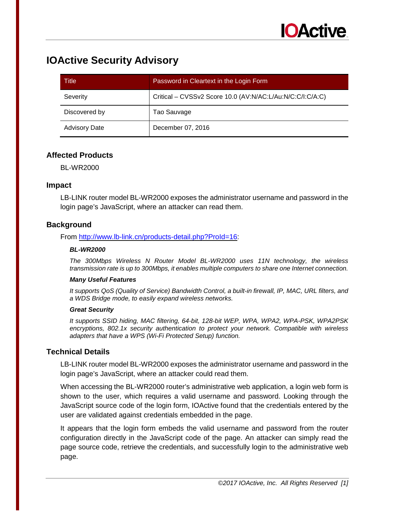# **IOActive Security Advisory**

| Title                | Password in Cleartext in the Login Form                   |  |
|----------------------|-----------------------------------------------------------|--|
| Severity             | Critical - CVSSv2 Score 10.0 (AV:N/AC:L/Au:N/C:C/I:C/A:C) |  |
| Discovered by        | Tao Sauvage                                               |  |
| <b>Advisory Date</b> | December 07, 2016                                         |  |

# **Affected Products**

BL-WR2000

## **Impact**

LB-LINK router model BL-WR2000 exposes the administrator username and password in the login page's JavaScript, where an attacker can read them.

# **Background**

### From [http://www.lb-link.cn/products-detail.php?ProId=16:](http://www.lb-link.cn/products-detail.php?ProId=16)

### *BL-WR2000*

*The 300Mbps Wireless N Router Model BL-WR2000 uses 11N technology, the wireless transmission rate is up to 300Mbps, it enables multiple computers to share one Internet connection.*

#### *Many Useful Features*

*It supports QoS (Quality of Service) Bandwidth Control, a built-in firewall, IP, MAC, URL filters, and a WDS Bridge mode, to easily expand wireless networks.*

#### *Great Security*

*It supports SSID hiding, MAC filtering, 64-bit, 128-bit WEP, WPA, WPA2, WPA-PSK, WPA2PSK encryptions, 802.1x security authentication to protect your network. Compatible with wireless adapters that have a WPS (Wi-Fi Protected Setup) function.*

# **Technical Details**

LB-LINK router model BL-WR2000 exposes the administrator username and password in the login page's JavaScript, where an attacker could read them.

When accessing the BL-WR2000 router's administrative web application, a login web form is shown to the user, which requires a valid username and password. Looking through the JavaScript source code of the login form, IOActive found that the credentials entered by the user are validated against credentials embedded in the page.

It appears that the login form embeds the valid username and password from the router configuration directly in the JavaScript code of the page. An attacker can simply read the page source code, retrieve the credentials, and successfully login to the administrative web page.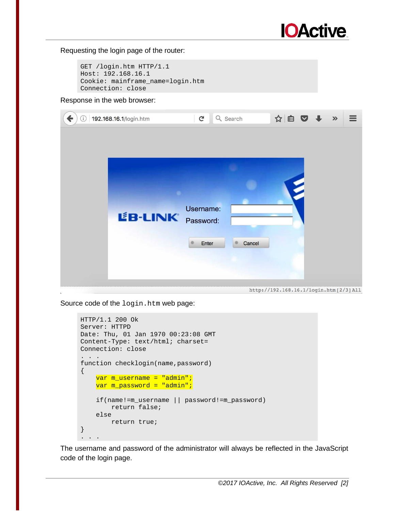

#### Requesting the login page of the router:

```
GET /login.htm HTTP/1.1 
Host: 192.168.16.1 
Cookie: mainframe_name=login.htm 
Connection: close
```
#### Response in the web browser:

| 192.168.16.1/login.htm<br>$\mathbb{C}^{\mathbb{N}}$<br>ь | $\mathbf{C}$<br>Q Search     | ☆自▽→                                    | $\rightarrow$ |  |
|----------------------------------------------------------|------------------------------|-----------------------------------------|---------------|--|
| L'B-LINK Password:                                       | Username:<br>Cancel<br>Enter | http://192.168.16.1/login.htm [2/3] All |               |  |

Source code of the login.htm web page:

```
HTTP/1.1 200 Ok 
Server: HTTPD 
Date: Thu, 01 Jan 1970 00:23:08 GMT 
Content-Type: text/html; charset= 
Connection: close 
. . . 
function checklogin(name,password) 
\{ var m_username = "admin";
     var m_password = "admin";
     if(name!=m_username || password!=m_password) 
         return false; 
     else 
         return true; 
} 
. . . . .
```
The username and password of the administrator will always be reflected in the JavaScript code of the login page.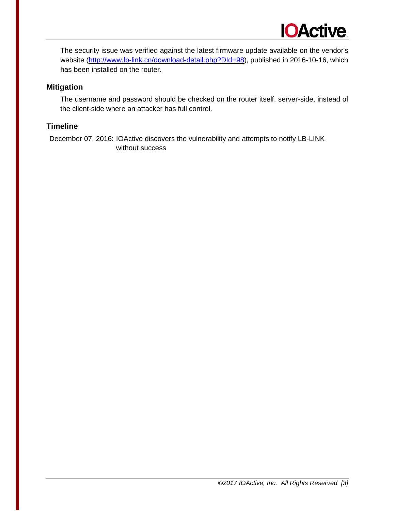

The security issue was verified against the latest firmware update available on the vendor's website [\(http://www.lb-link.cn/download-detail.php?DId=98\)](http://www.lb-link.cn/download-detail.php?DId=98), published in 2016-10-16, which has been installed on the router.

## **Mitigation**

The username and password should be checked on the router itself, server-side, instead of the client-side where an attacker has full control.

### **Timeline**

December 07, 2016: IOActive discovers the vulnerability and attempts to notify LB-LINK without success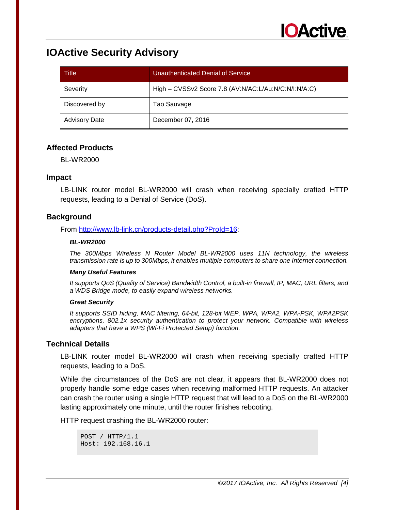# **IOActive Security Advisory**

| Title                | Unauthenticated Denial of Service                    |
|----------------------|------------------------------------------------------|
| Severity             | High - CVSSv2 Score 7.8 (AV:N/AC:L/Au:N/C:N/I:N/A:C) |
| Discovered by        | Tao Sauvage                                          |
| <b>Advisory Date</b> | December 07, 2016                                    |

## **Affected Products**

BL-WR2000

## **Impact**

LB-LINK router model BL-WR2000 will crash when receiving specially crafted HTTP requests, leading to a Denial of Service (DoS).

## **Background**

From [http://www.lb-link.cn/products-detail.php?ProId=16:](http://www.lb-link.cn/products-detail.php?ProId=16)

#### *BL-WR2000*

*The 300Mbps Wireless N Router Model BL-WR2000 uses 11N technology, the wireless transmission rate is up to 300Mbps, it enables multiple computers to share one Internet connection.*

#### *Many Useful Features*

*It supports QoS (Quality of Service) Bandwidth Control, a built-in firewall, IP, MAC, URL filters, and a WDS Bridge mode, to easily expand wireless networks.*

#### *Great Security*

*It supports SSID hiding, MAC filtering, 64-bit, 128-bit WEP, WPA, WPA2, WPA-PSK, WPA2PSK encryptions, 802.1x security authentication to protect your network. Compatible with wireless adapters that have a WPS (Wi-Fi Protected Setup) function.* 

## **Technical Details**

LB-LINK router model BL-WR2000 will crash when receiving specially crafted HTTP requests, leading to a DoS.

While the circumstances of the DoS are not clear, it appears that BL-WR2000 does not properly handle some edge cases when receiving malformed HTTP requests. An attacker can crash the router using a single HTTP request that will lead to a DoS on the BL-WR2000 lasting approximately one minute, until the router finishes rebooting.

HTTP request crashing the BL-WR2000 router:

```
POST / HTTP/1.1 
Host: 192.168.16.1
```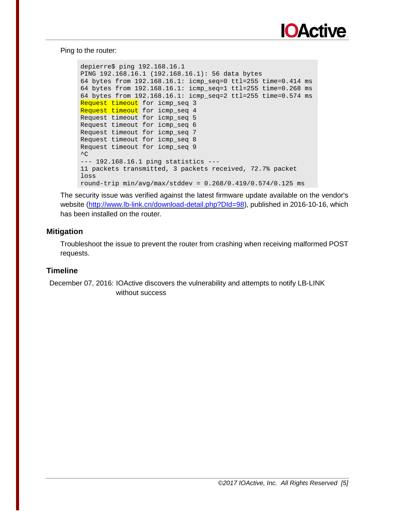

#### Ping to the router:

```
depierre$ ping 192.168.16.1 
PING 192.168.16.1 (192.168.16.1): 56 data bytes 
64 bytes from 192.168.16.1: icmp_seq=0 ttl=255 time=0.414 ms 
64 bytes from 192.168.16.1: icmp_seq=1 ttl=255 time=0.268 ms 
64 bytes from 192.168.16.1: icmp_seq=2 ttl=255 time=0.574 ms 
Request timeout for icmp_seq 3
Request timeout for icmp_seq 4
Request timeout for icmp_seq 5 
Request timeout for icmp_seq 6 
Request timeout for icmp_seq 7 
Request timeout for icmp_seq 8 
Request timeout for icmp_seq 9 
\mathcal{L}--- 192.168.16.1 ping statistics ---
11 packets transmitted, 3 packets received, 72.7% packet 
loss 
round-trip min/avg/max/stddev = 0.268/0.419/0.574/0.125 ms
```
The security issue was verified against the latest firmware update available on the vendor's website [\(http://www.lb-link.cn/download-detail.php?DId=98\)](http://www.lb-link.cn/download-detail.php?DId=98), published in 2016-10-16, which has been installed on the router.

## **Mitigation**

Troubleshoot the issue to prevent the router from crashing when receiving malformed POST requests.

## **Timeline**

December 07, 2016: IOActive discovers the vulnerability and attempts to notify LB-LINK without success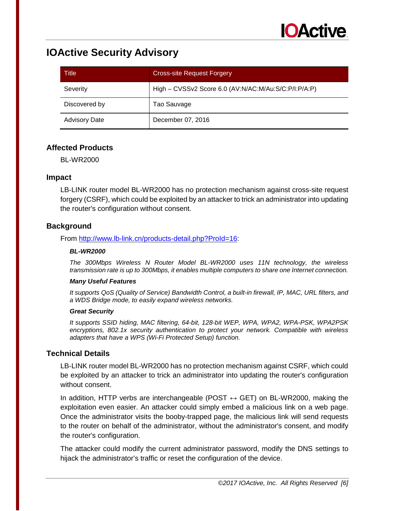# **IOActive Security Advisory**

| Title                | <b>Cross-site Request Forgery</b>                    |
|----------------------|------------------------------------------------------|
| Severity             | High - CVSSv2 Score 6.0 (AV:N/AC:M/Au:S/C:P/I:P/A:P) |
| Discovered by        | Tao Sauvage                                          |
| <b>Advisory Date</b> | December 07, 2016                                    |

## **Affected Products**

BL-WR2000

## **Impact**

LB-LINK router model BL-WR2000 has no protection mechanism against cross-site request forgery (CSRF), which could be exploited by an attacker to trick an administrator into updating the router's configuration without consent.

# **Background**

From [http://www.lb-link.cn/products-detail.php?ProId=16:](http://www.lb-link.cn/products-detail.php?ProId=16)

#### *BL-WR2000*

*The 300Mbps Wireless N Router Model BL-WR2000 uses 11N technology, the wireless transmission rate is up to 300Mbps, it enables multiple computers to share one Internet connection.*

#### *Many Useful Features*

*It supports QoS (Quality of Service) Bandwidth Control, a built-in firewall, IP, MAC, URL filters, and a WDS Bridge mode, to easily expand wireless networks.*

#### *Great Security*

*It supports SSID hiding, MAC filtering, 64-bit, 128-bit WEP, WPA, WPA2, WPA-PSK, WPA2PSK encryptions, 802.1x security authentication to protect your network. Compatible with wireless adapters that have a WPS (Wi-Fi Protected Setup) function.* 

## **Technical Details**

LB-LINK router model BL-WR2000 has no protection mechanism against CSRF, which could be exploited by an attacker to trick an administrator into updating the router's configuration without consent.

In addition, HTTP verbs are interchangeable (POST  $\leftrightarrow$  GET) on BL-WR2000, making the exploitation even easier. An attacker could simply embed a malicious link on a web page. Once the administrator visits the booby-trapped page, the malicious link will send requests to the router on behalf of the administrator, without the administrator's consent, and modify the router's configuration.

The attacker could modify the current administrator password, modify the DNS settings to hijack the administrator's traffic or reset the configuration of the device.